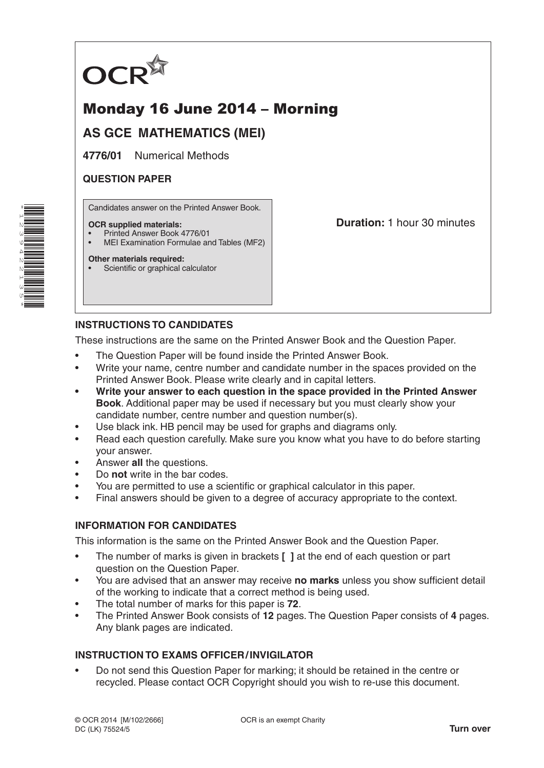

# Monday 16 June 2014 – Morning

## **AS GCE MATHEMATICS (MEI)**

**4776/01** Numerical Methods

## **QUESTION PAPER**

Candidates answer on the Printed Answer Book.

#### **OCR supplied materials:**

- Printed Answer Book 4776/01
- MEI Examination Formulae and Tables (MF2)

#### **Other materials required:**

Scientific or graphical calculator

**Duration:** 1 hour 30 minutes

## **INSTRUCTIONS TO CANDIDATES**

These instructions are the same on the Printed Answer Book and the Question Paper.

- The Question Paper will be found inside the Printed Answer Book.
- Write your name, centre number and candidate number in the spaces provided on the Printed Answer Book. Please write clearly and in capital letters.
- **• Write your answer to each question in the space provided in the Printed Answer Book**. Additional paper may be used if necessary but you must clearly show your candidate number, centre number and question number(s).
- Use black ink. HB pencil may be used for graphs and diagrams only.
- Read each question carefully. Make sure you know what you have to do before starting your answer.
- Answer **all** the questions.
- Do **not** write in the bar codes.
- You are permitted to use a scientific or graphical calculator in this paper.
- Final answers should be given to a degree of accuracy appropriate to the context.

## **INFORMATION FOR CANDIDATES**

This information is the same on the Printed Answer Book and the Question Paper.

- The number of marks is given in brackets **[ ]** at the end of each question or part question on the Question Paper.
- You are advised that an answer may receive **no marks** unless you show sufficient detail of the working to indicate that a correct method is being used.
- The total number of marks for this paper is **72**.
- The Printed Answer Book consists of **12** pages. The Question Paper consists of **4** pages. Any blank pages are indicated.

## **INSTRUCTION TO EXAMS OFFICER/INVIGILATOR**

• Do not send this Question Paper for marking; it should be retained in the centre or recycled. Please contact OCR Copyright should you wish to re-use this document.

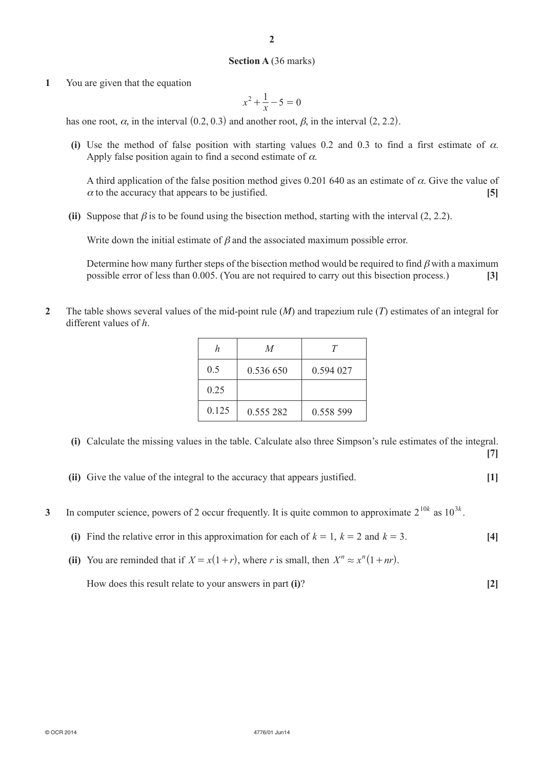#### **Section A** (36 marks)

**1** You are given that the equation

$$
x^2 + \frac{1}{x} - 5 = 0
$$

has one root,  $\alpha$ , in the interval  $(0.2, 0.3)$  and another root,  $\beta$ , in the interval  $(2, 2.2)$ .

**(i)** Use the method of false position with starting values 0.2 and 0.3 to find a first estimate of  $\alpha$ . Apply false position again to find a second estimate of  $\alpha$ .

A third application of the false position method gives 0.201 640 as an estimate of  $\alpha$ . Give the value of  $\alpha$  to the accuracy that appears to be justified.  $[5]$ 

**(ii)** Suppose that  $\beta$  is to be found using the bisection method, starting with the interval (2, 2.2).

Write down the initial estimate of  $\beta$  and the associated maximum possible error.

Determine how many further steps of the bisection method would be required to find  $\beta$  with a maximum possible error of less than 0.005. (You are not required to carry out this bisection process.) **[3]**

**2** The table shows several values of the mid-point rule (*m*) and trapezium rule (*t*) estimates of an integral for different values of *h*.

|       | $\overline{M}$ |           |
|-------|----------------|-----------|
| 0.5   | 0.536 650      | 0.594 027 |
| 0.25  |                |           |
| 0.125 | 0.555 282      | 0.558.599 |

- **(i)** Calculate the missing values in the table. Calculate also three Simpson's rule estimates of the integral. **[7]**
- **(ii)** Give the value of the integral to the accuracy that appears justified. **[1]**
- **3** In computer science, powers of 2 occur frequently. It is quite common to approximate  $2^{10k}$  as  $10^{3k}$ .
	- **(i)** Find the relative error in this approximation for each of  $k = 1$ ,  $k = 2$  and  $k = 3$ . [4]
	- (ii) You are reminded that if  $X = x(1+r)$ , where *r* is small, then  $X^n \approx x^n(1 + nr)$ .

How does this result relate to your answers in part **(i)**? **[2]**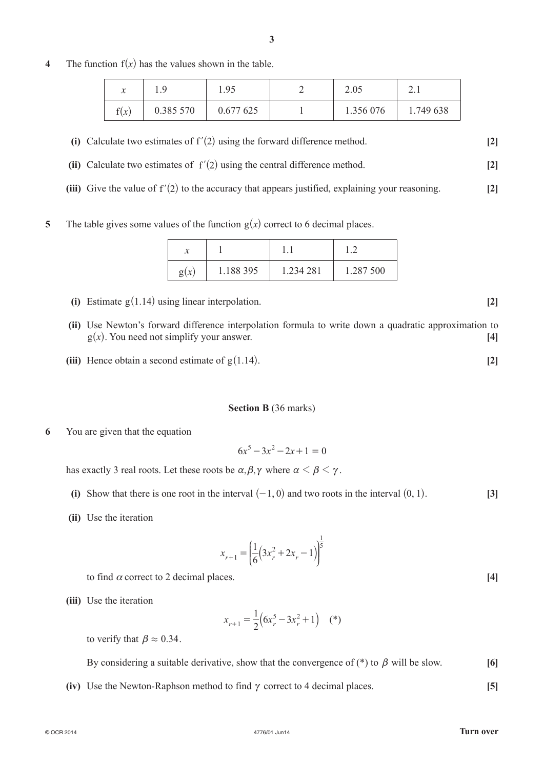**4** The function  $f(x)$  has the values shown in the table.

| v<br>$\lambda$ | $\Omega$<br>. | 1.95      | 2.05      | $\sim$ . 1 |
|----------------|---------------|-----------|-----------|------------|
| $\sim$<br>f(x) | 0.385 570     | 0.677 625 | 1.356 076 | 1.749 638  |

**(ii)** Calculate two estimates of  $f'(2)$  using the central difference method.  $[2]$ 

**(iii)** Give the value of  $f'(2)$  to the accuracy that appears justified, explaining your reasoning.  $[2]$ 

**5** The table gives some values of the function  $g(x)$  correct to 6 decimal places.

| g(x) | 1.188 395 | 1.234 281 | 1.287 500 |
|------|-----------|-----------|-----------|

- **(i)** Estimate  $g(1.14)$  using linear interpolation.  $[2]$
- **(ii)** Use Newton's forward difference interpolation formula to write down a quadratic approximation to  $g(x)$ . You need not simplify your answer. **[4]**
- **(iii)** Hence obtain a second estimate of  $g(1.14)$ . [2]

## **Section B** (36 marks)

**6** You are given that the equation

$$
6x^5 - 3x^2 - 2x + 1 = 0
$$

has exactly 3 real roots. Let these roots be  $\alpha, \beta, \gamma$  where  $\alpha < \beta < \gamma$ .

- **(i)** Show that there is one root in the interval  $(-1, 0)$  and two roots in the interval  $(0, 1)$ . **[3]**
- **(ii)** Use the iteration

$$
x_{r+1} = \left(\frac{1}{6}\left(3x_r^2 + 2x_r - 1\right)\right)^{\frac{1}{5}}
$$

to find  $\alpha$  correct to 2 decimal places.  $[4]$ 

**(iii)** Use the iteration

$$
x_{r+1} = \frac{1}{2} \left( 6x_r^5 - 3x_r^2 + 1 \right) \quad (*)
$$

to verify that  $\beta \approx 0.34$ .

By considering a suitable derivative, show that the convergence of  $(*)$  to  $\beta$  will be slow. [6]

**(iv)** Use the Newton-Raphson method to find  $\gamma$  correct to 4 decimal places. **[5]**